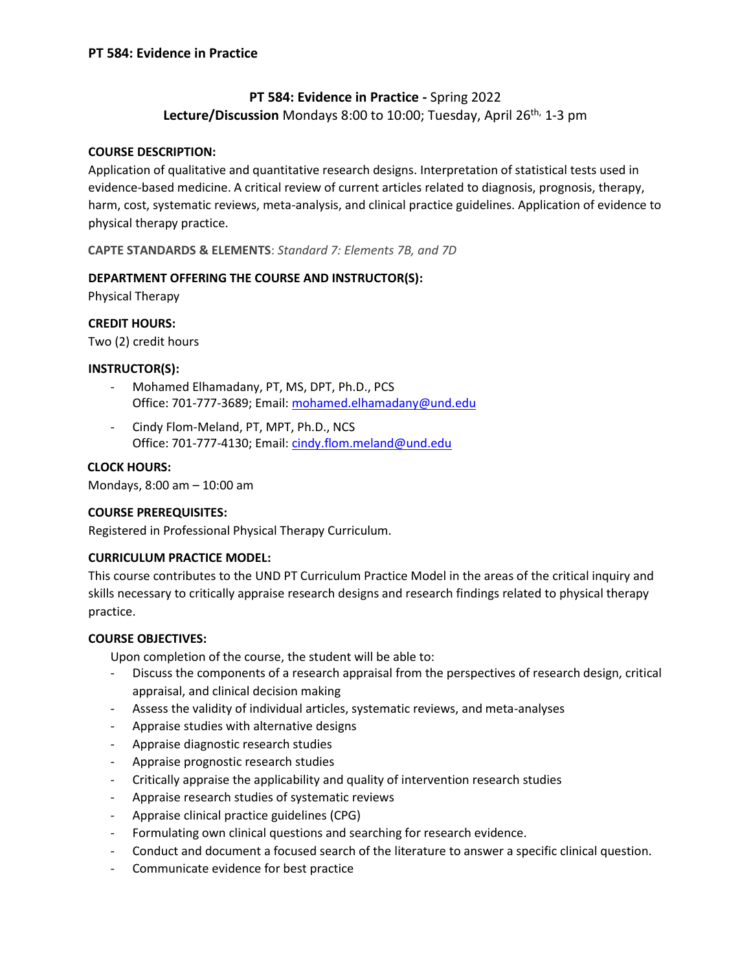## **PT 584: Evidence in Practice -** Spring 2022

Lecture/Discussion Mondays 8:00 to 10:00; Tuesday, April 26<sup>th,</sup> 1-3 pm

#### **COURSE DESCRIPTION:**

Application of qualitative and quantitative research designs. Interpretation of statistical tests used in evidence-based medicine. A critical review of current articles related to diagnosis, prognosis, therapy, harm, cost, systematic reviews, meta-analysis, and clinical practice guidelines. Application of evidence to physical therapy practice.

**CAPTE STANDARDS & ELEMENTS**: *Standard 7: Elements 7B, and 7D*

#### **DEPARTMENT OFFERING THE COURSE AND INSTRUCTOR(S):**

Physical Therapy

#### **CREDIT HOURS:**

Two (2) credit hours

#### **INSTRUCTOR(S):**

- Mohamed Elhamadany, PT, MS, DPT, Ph.D., PCS Office: 701-777-3689; Email: mohamed.elhamadany@und.edu
- Cindy Flom-Meland, PT, MPT, Ph.D., NCS Office: 701-777-4130; Email: [cindy.flom.meland@und.edu](mailto:cindy.flom.meland@und.edu)

#### **CLOCK HOURS:**

Mondays, 8:00 am – 10:00 am

#### **COURSE PREREQUISITES:**

Registered in Professional Physical Therapy Curriculum.

#### **CURRICULUM PRACTICE MODEL:**

This course contributes to the UND PT Curriculum Practice Model in the areas of the critical inquiry and skills necessary to critically appraise research designs and research findings related to physical therapy practice.

#### **COURSE OBJECTIVES:**

Upon completion of the course, the student will be able to:

- Discuss the components of a research appraisal from the perspectives of research design, critical appraisal, and clinical decision making
- Assess the validity of individual articles, systematic reviews, and meta-analyses
- Appraise studies with alternative designs
- Appraise diagnostic research studies
- Appraise prognostic research studies
- Critically appraise the applicability and quality of intervention research studies
- Appraise research studies of systematic reviews
- Appraise clinical practice guidelines (CPG)
- Formulating own clinical questions and searching for research evidence.
- Conduct and document a focused search of the literature to answer a specific clinical question.
- Communicate evidence for best practice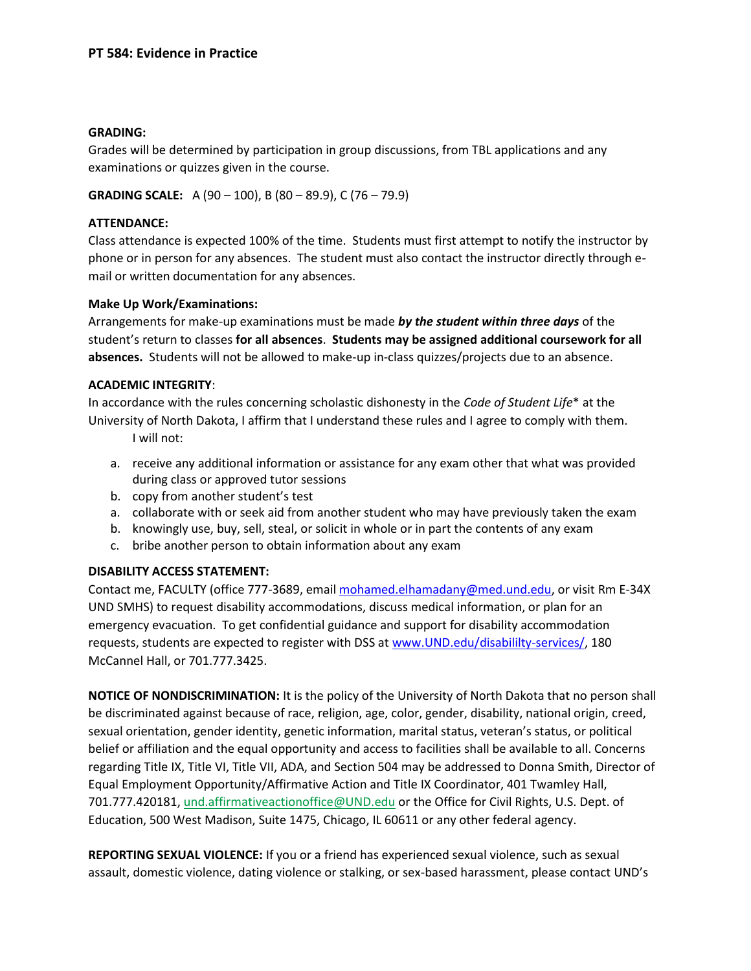#### **GRADING:**

Grades will be determined by participation in group discussions, from TBL applications and any examinations or quizzes given in the course.

**GRADING SCALE:** A (90 – 100), B (80 – 89.9), C (76 – 79.9)

#### **ATTENDANCE:**

Class attendance is expected 100% of the time. Students must first attempt to notify the instructor by phone or in person for any absences. The student must also contact the instructor directly through email or written documentation for any absences.

#### **Make Up Work/Examinations:**

Arrangements for make-up examinations must be made *by the student within three days* of the student's return to classes **for all absences**. **Students may be assigned additional coursework for all absences.** Students will not be allowed to make-up in-class quizzes/projects due to an absence.

#### **ACADEMIC INTEGRITY**:

In accordance with the rules concerning scholastic dishonesty in the *Code of Student Life*\* at the University of North Dakota, I affirm that I understand these rules and I agree to comply with them. I will not:

- a. receive any additional information or assistance for any exam other that what was provided during class or approved tutor sessions
- b. copy from another student's test
- a. collaborate with or seek aid from another student who may have previously taken the exam
- b. knowingly use, buy, sell, steal, or solicit in whole or in part the contents of any exam
- c. bribe another person to obtain information about any exam

#### **DISABILITY ACCESS STATEMENT:**

Contact me, FACULTY (office 777-3689, email mohamed.elhamadany@med.und.edu, or visit Rm E-34X UND SMHS) to request disability accommodations, discuss medical information, or plan for an emergency evacuation. To get confidential guidance and support for disability accommodation requests, students are expected to register with DSS a[t www.UND.edu/disabililty-services/,](file:///C:/Users/David.Relling/Documents/@UND-PT%20Teaching_Research_Service/@Teaching/@Teaching%20FALL/PT513/Syllabus_Objectives/www.UND.edu/disabililty-services/) 180 McCannel Hall, or 701.777.3425.

**NOTICE OF NONDISCRIMINATION:** It is the policy of the University of North Dakota that no person shall be discriminated against because of race, religion, age, color, gender, disability, national origin, creed, sexual orientation, gender identity, genetic information, marital status, veteran's status, or political belief or affiliation and the equal opportunity and access to facilities shall be available to all. Concerns regarding Title IX, Title VI, Title VII, ADA, and Section 504 may be addressed to Donna Smith, Director of Equal Employment Opportunity/Affirmative Action and Title IX Coordinator, 401 Twamley Hall, 701.777.420181, [und.affirmativeactionoffice@UND.edu](mailto:und.affirmativeactionoffice@UND.edu) or the Office for Civil Rights, U.S. Dept. of Education, 500 West Madison, Suite 1475, Chicago, IL 60611 or any other federal agency.

**REPORTING SEXUAL VIOLENCE:** If you or a friend has experienced sexual violence, such as sexual assault, domestic violence, dating violence or stalking, or sex-based harassment, please contact UND's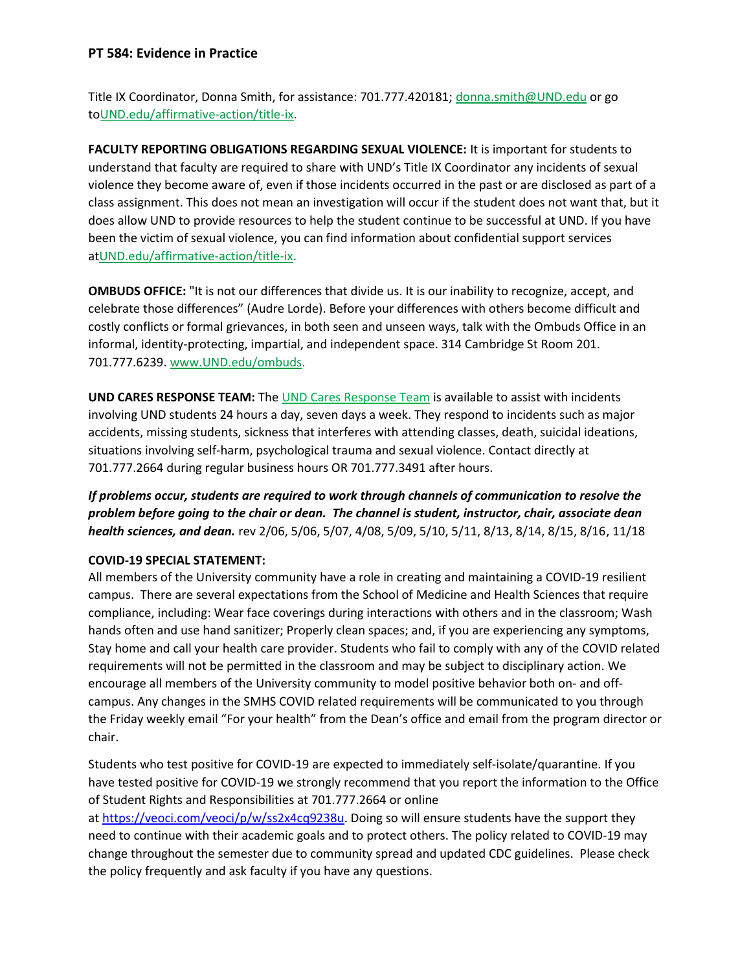### **PT 584: Evidence in Practice**

Title IX Coordinator, Donna Smith, for assistance: 701.777.420181; [donna.smith@UND.edu](mailto:donna.smith@UND.edu) or go t[oUND.edu/affirmative-action/title-ix.](http://und.edu/affirmative-action/title-ix/index.cfm)

**FACULTY REPORTING OBLIGATIONS REGARDING SEXUAL VIOLENCE:** It is important for students to understand that faculty are required to share with UND's Title IX Coordinator any incidents of sexual violence they become aware of, even if those incidents occurred in the past or are disclosed as part of a class assignment. This does not mean an investigation will occur if the student does not want that, but it does allow UND to provide resources to help the student continue to be successful at UND. If you have been the victim of sexual violence, you can find information about confidential support services a[tUND.edu/affirmative-action/title-ix.](http://und.edu/affirmative-action/title-ix/index.cfm)

**OMBUDS OFFICE:** "It is not our differences that divide us. It is our inability to recognize, accept, and celebrate those differences" (Audre Lorde). Before your differences with others become difficult and costly conflicts or formal grievances, in both seen and unseen ways, talk with the Ombuds Office in an informal, identity-protecting, impartial, and independent space. 314 Cambridge St Room 201. 701.777.6239. [www.UND.edu/ombuds.](http://www.und.edu/ombuds)

**UND CARES RESPONSE TEAM:** Th[e UND Cares Response Team](http://und.edu/student-affairs/student-rights-responsibilities/care-team.cfm) is available to assist with incidents involving UND students 24 hours a day, seven days a week. They respond to incidents such as major accidents, missing students, sickness that interferes with attending classes, death, suicidal ideations, situations involving self-harm, psychological trauma and sexual violence. Contact directly at 701.777.2664 during regular business hours OR 701.777.3491 after hours.

*If problems occur, students are required to work through channels of communication to resolve the problem before going to the chair or dean. The channel is student, instructor, chair, associate dean health sciences, and dean.* rev 2/06, 5/06, 5/07, 4/08, 5/09, 5/10, 5/11, 8/13, 8/14, 8/15, 8/16, 11/18

#### **COVID-19 SPECIAL STATEMENT:**

All members of the University community have a role in creating and maintaining a COVID-19 resilient campus. There are several expectations from the School of Medicine and Health Sciences that require compliance, including: Wear face coverings during interactions with others and in the classroom; Wash hands often and use hand sanitizer; Properly clean spaces; and, if you are experiencing any symptoms, Stay home and call your health care provider. Students who fail to comply with any of the COVID related requirements will not be permitted in the classroom and may be subject to disciplinary action. We encourage all members of the University community to model positive behavior both on- and offcampus. Any changes in the SMHS COVID related requirements will be communicated to you through the Friday weekly email "For your health" from the Dean's office and email from the program director or chair.

Students who test positive for COVID-19 are expected to immediately self-isolate/quarantine. If you have tested positive for COVID-19 we strongly recommend that you report the information to the Office of Student Rights and Responsibilities at 701.777.2664 or online

at [https://veoci.com/veoci/p/w/ss2x4cq9238u.](https://veoci.com/veoci/p/w/ss2x4cq9238u) Doing so will ensure students have the support they need to continue with their academic goals and to protect others. The policy related to COVID-19 may change throughout the semester due to community spread and updated CDC guidelines. Please check the policy frequently and ask faculty if you have any questions.